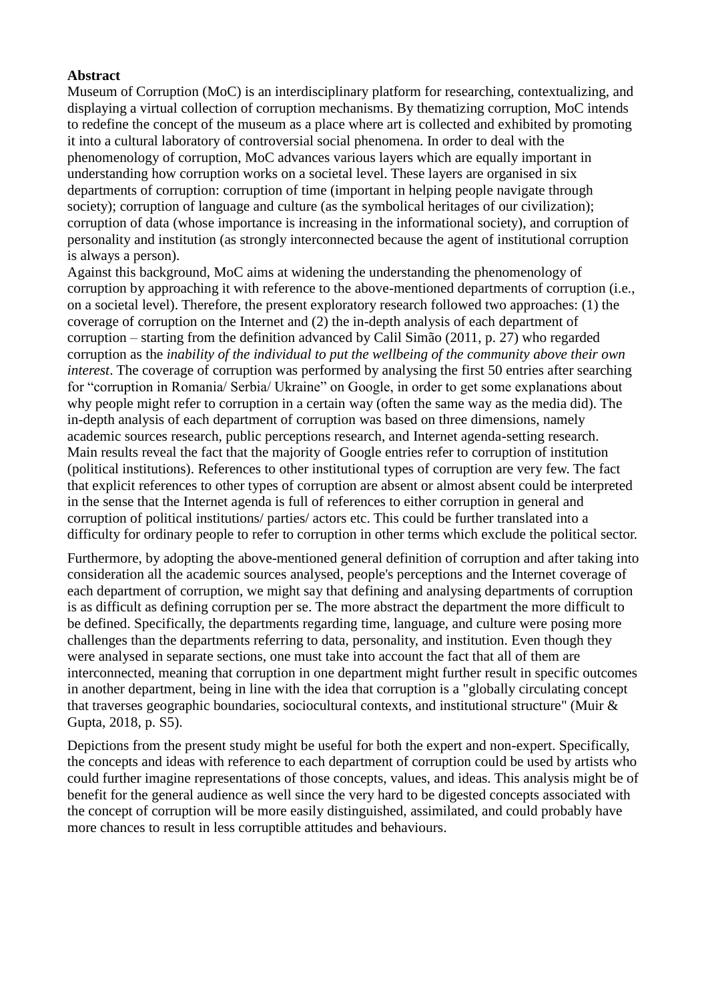### **Abstract**

Museum of Corruption (MoC) is an interdisciplinary platform for researching, contextualizing, and displaying a virtual collection of corruption mechanisms. By thematizing corruption, MoC intends to redefine the concept of the museum as a place where art is collected and exhibited by promoting it into a cultural laboratory of controversial social phenomena. In order to deal with the phenomenology of corruption, MoC advances various layers which are equally important in understanding how corruption works on a societal level. These layers are organised in six departments of corruption: corruption of time (important in helping people navigate through society); corruption of language and culture (as the symbolical heritages of our civilization); corruption of data (whose importance is increasing in the informational society), and corruption of personality and institution (as strongly interconnected because the agent of institutional corruption is always a person).

Against this background, MoC aims at widening the understanding the phenomenology of corruption by approaching it with reference to the above-mentioned departments of corruption (i.e., on a societal level). Therefore, the present exploratory research followed two approaches: (1) the coverage of corruption on the Internet and (2) the in-depth analysis of each department of corruption – starting from the definition advanced by Calil Simão (2011, p. 27) who regarded corruption as the *inability of the individual to put the wellbeing of the community above their own interest*. The coverage of corruption was performed by analysing the first 50 entries after searching for "corruption in Romania/ Serbia/ Ukraine" on Google, in order to get some explanations about why people might refer to corruption in a certain way (often the same way as the media did). The in-depth analysis of each department of corruption was based on three dimensions, namely academic sources research, public perceptions research, and Internet agenda-setting research. Main results reveal the fact that the majority of Google entries refer to corruption of institution (political institutions). References to other institutional types of corruption are very few. The fact that explicit references to other types of corruption are absent or almost absent could be interpreted in the sense that the Internet agenda is full of references to either corruption in general and corruption of political institutions/ parties/ actors etc. This could be further translated into a difficulty for ordinary people to refer to corruption in other terms which exclude the political sector.

Furthermore, by adopting the above-mentioned general definition of corruption and after taking into consideration all the academic sources analysed, people's perceptions and the Internet coverage of each department of corruption, we might say that defining and analysing departments of corruption is as difficult as defining corruption per se. The more abstract the department the more difficult to be defined. Specifically, the departments regarding time, language, and culture were posing more challenges than the departments referring to data, personality, and institution. Even though they were analysed in separate sections, one must take into account the fact that all of them are interconnected, meaning that corruption in one department might further result in specific outcomes in another department, being in line with the idea that corruption is a "globally circulating concept that traverses geographic boundaries, sociocultural contexts, and institutional structure" (Muir & Gupta, 2018, p. S5).

Depictions from the present study might be useful for both the expert and non-expert. Specifically, the concepts and ideas with reference to each department of corruption could be used by artists who could further imagine representations of those concepts, values, and ideas. This analysis might be of benefit for the general audience as well since the very hard to be digested concepts associated with the concept of corruption will be more easily distinguished, assimilated, and could probably have more chances to result in less corruptible attitudes and behaviours.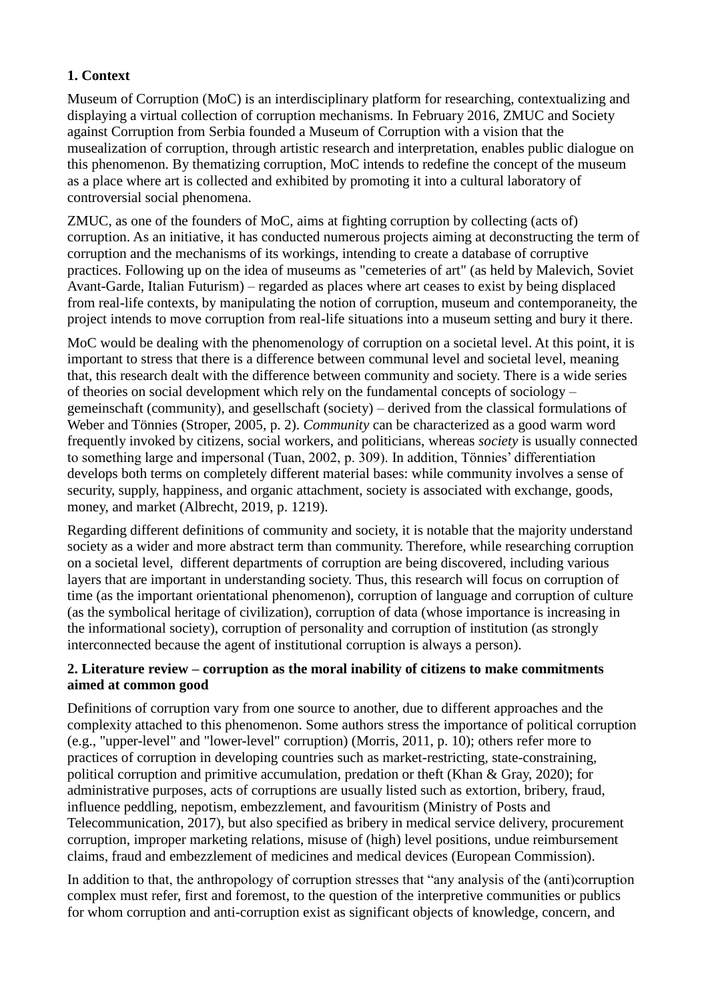# **1. Context**

Museum of Corruption (MoC) is an interdisciplinary platform for researching, contextualizing and displaying a virtual collection of corruption mechanisms. In February 2016, ZMUC and Society against Corruption from Serbia founded a Museum of Corruption with a vision that the musealization of corruption, through artistic research and interpretation, enables public dialogue on this phenomenon. By thematizing corruption, MoC intends to redefine the concept of the museum as a place where art is collected and exhibited by promoting it into a cultural laboratory of controversial social phenomena.

ZMUC, as one of the founders of MoC, aims at fighting corruption by collecting (acts of) corruption. As an initiative, it has conducted numerous projects aiming at deconstructing the term of corruption and the mechanisms of its workings, intending to create a database of corruptive practices. Following up on the idea of museums as "cemeteries of art" (as held by Malevich, Soviet Avant-Garde, Italian Futurism) – regarded as places where art ceases to exist by being displaced from real-life contexts, by manipulating the notion of corruption, museum and contemporaneity, the project intends to move corruption from real-life situations into a museum setting and bury it there.

MoC would be dealing with the phenomenology of corruption on a societal level. At this point, it is important to stress that there is a difference between communal level and societal level, meaning that, this research dealt with the difference between community and society. There is a wide series of theories on social development which rely on the fundamental concepts of sociology – gemeinschaft (community), and gesellschaft (society) – derived from the classical formulations of Weber and Tönnies (Stroper, 2005, p. 2). *Community* can be characterized as a good warm word frequently invoked by citizens, social workers, and politicians, whereas *society* is usually connected to something large and impersonal (Tuan, 2002, p. 309). In addition, Tönnies' differentiation develops both terms on completely different material bases: while community involves a sense of security, supply, happiness, and organic attachment, society is associated with exchange, goods, money, and market (Albrecht, 2019, p. 1219).

Regarding different definitions of community and society, it is notable that the majority understand society as a wider and more abstract term than community. Therefore, while researching corruption on a societal level, different departments of corruption are being discovered, including various layers that are important in understanding society. Thus, this research will focus on corruption of time (as the important orientational phenomenon), corruption of language and corruption of culture (as the symbolical heritage of civilization), corruption of data (whose importance is increasing in the informational society), corruption of personality and corruption of institution (as strongly interconnected because the agent of institutional corruption is always a person).

# **2. Literature review – corruption as the moral inability of citizens to make commitments aimed at common good**

Definitions of corruption vary from one source to another, due to different approaches and the complexity attached to this phenomenon. Some authors stress the importance of political corruption (e.g., "upper-level" and "lower-level" corruption) (Morris, 2011, p. 10); others refer more to practices of corruption in developing countries such as market-restricting, state-constraining, political corruption and primitive accumulation, predation or theft (Khan & Gray, 2020); for administrative purposes, acts of corruptions are usually listed such as extortion, bribery, fraud, influence peddling, nepotism, embezzlement, and favouritism (Ministry of Posts and Telecommunication, 2017), but also specified as bribery in medical service delivery, procurement corruption, improper marketing relations, misuse of (high) level positions, undue reimbursement claims, fraud and embezzlement of medicines and medical devices (European Commission).

In addition to that, the anthropology of corruption stresses that "any analysis of the (anti)corruption complex must refer, first and foremost, to the question of the interpretive communities or publics for whom corruption and anti-corruption exist as significant objects of knowledge, concern, and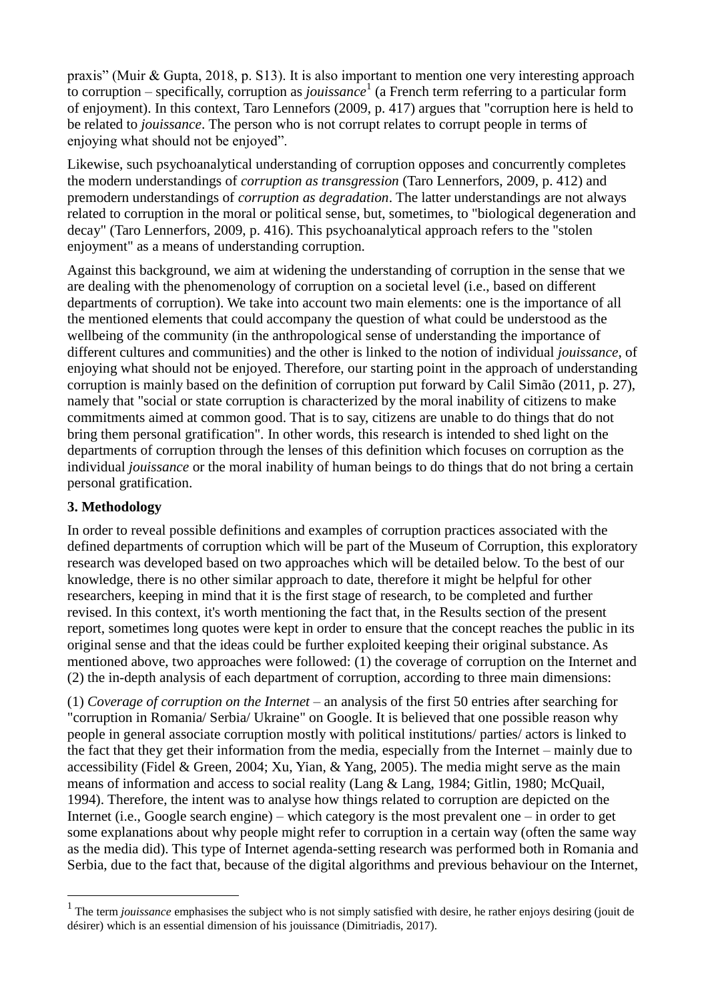praxis" (Muir & Gupta, 2018, p. S13). It is also important to mention one very interesting approach to corruption – specifically, corruption as *jouissance*<sup>1</sup> (a French term referring to a particular form of enjoyment). In this context, Taro Lennefors (2009, p. 417) argues that "corruption here is held to be related to *jouissance*. The person who is not corrupt relates to corrupt people in terms of enjoying what should not be enjoyed".

Likewise, such psychoanalytical understanding of corruption opposes and concurrently completes the modern understandings of *corruption as transgression* (Taro Lennerfors, 2009, p. 412) and premodern understandings of *corruption as degradation*. The latter understandings are not always related to corruption in the moral or political sense, but, sometimes, to "biological degeneration and decay" (Taro Lennerfors, 2009, p. 416). This psychoanalytical approach refers to the "stolen enjoyment" as a means of understanding corruption.

Against this background, we aim at widening the understanding of corruption in the sense that we are dealing with the phenomenology of corruption on a societal level (i.e., based on different departments of corruption). We take into account two main elements: one is the importance of all the mentioned elements that could accompany the question of what could be understood as the wellbeing of the community (in the anthropological sense of understanding the importance of different cultures and communities) and the other is linked to the notion of individual *jouissance*, of enjoying what should not be enjoyed. Therefore, our starting point in the approach of understanding corruption is mainly based on the definition of corruption put forward by Calil Simão (2011, p. 27), namely that "social or state corruption is characterized by the moral inability of citizens to make commitments aimed at common good. That is to say, citizens are unable to do things that do not bring them personal gratification". In other words, this research is intended to shed light on the departments of corruption through the lenses of this definition which focuses on corruption as the individual *jouissance* or the moral inability of human beings to do things that do not bring a certain personal gratification.

# **3. Methodology**

<u>.</u>

In order to reveal possible definitions and examples of corruption practices associated with the defined departments of corruption which will be part of the Museum of Corruption, this exploratory research was developed based on two approaches which will be detailed below. To the best of our knowledge, there is no other similar approach to date, therefore it might be helpful for other researchers, keeping in mind that it is the first stage of research, to be completed and further revised. In this context, it's worth mentioning the fact that, in the Results section of the present report, sometimes long quotes were kept in order to ensure that the concept reaches the public in its original sense and that the ideas could be further exploited keeping their original substance. As mentioned above, two approaches were followed: (1) the coverage of corruption on the Internet and (2) the in-depth analysis of each department of corruption, according to three main dimensions:

(1) *Coverage of corruption on the Internet* – an analysis of the first 50 entries after searching for "corruption in Romania/ Serbia/ Ukraine" on Google. It is believed that one possible reason why people in general associate corruption mostly with political institutions/ parties/ actors is linked to the fact that they get their information from the media, especially from the Internet – mainly due to accessibility (Fidel & Green, 2004; Xu, Yian, & Yang, 2005). The media might serve as the main means of information and access to social reality (Lang & Lang, 1984; Gitlin, 1980; McQuail, 1994). Therefore, the intent was to analyse how things related to corruption are depicted on the Internet (i.e., Google search engine) – which category is the most prevalent one – in order to get some explanations about why people might refer to corruption in a certain way (often the same way as the media did). This type of Internet agenda-setting research was performed both in Romania and Serbia, due to the fact that, because of the digital algorithms and previous behaviour on the Internet,

<sup>&</sup>lt;sup>1</sup> The term *jouissance* emphasises the subject who is not simply satisfied with desire, he rather enjoys desiring (jouit de désirer) which is an essential dimension of his jouissance (Dimitriadis, 2017).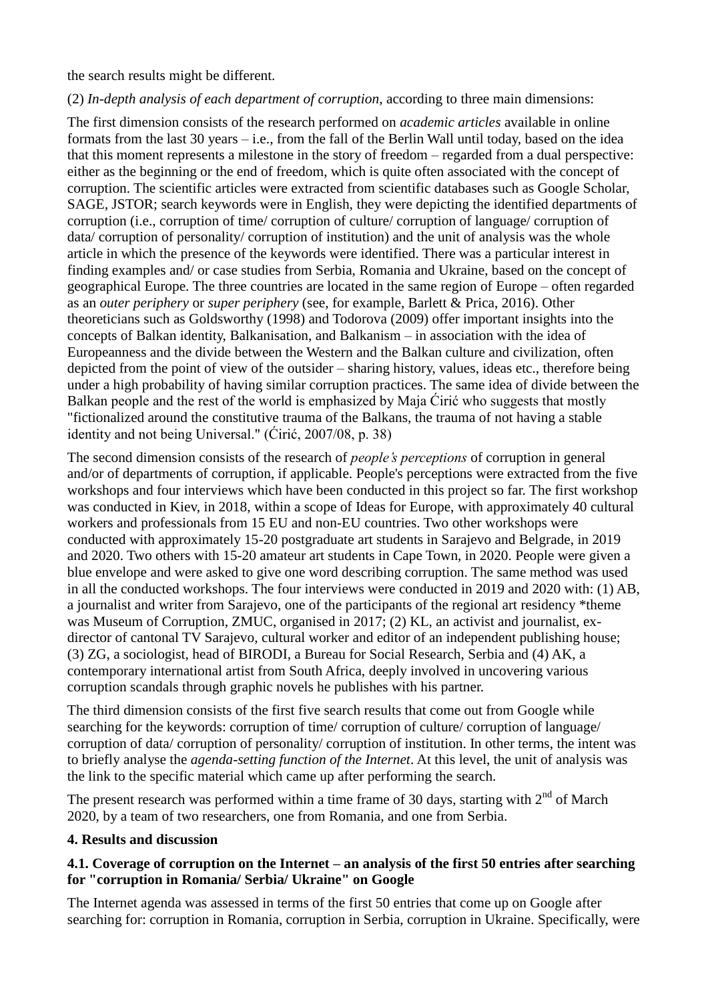the search results might be different.

#### (2) *In-depth analysis of each department of corruption*, according to three main dimensions:

The first dimension consists of the research performed on *academic articles* available in online formats from the last 30 years – i.e., from the fall of the Berlin Wall until today, based on the idea that this moment represents a milestone in the story of freedom – regarded from a dual perspective: either as the beginning or the end of freedom, which is quite often associated with the concept of corruption. The scientific articles were extracted from scientific databases such as Google Scholar, SAGE, JSTOR; search keywords were in English, they were depicting the identified departments of corruption (i.e., corruption of time/ corruption of culture/ corruption of language/ corruption of data/ corruption of personality/ corruption of institution) and the unit of analysis was the whole article in which the presence of the keywords were identified. There was a particular interest in finding examples and/ or case studies from Serbia, Romania and Ukraine, based on the concept of geographical Europe. The three countries are located in the same region of Europe – often regarded as an *outer periphery* or *super periphery* (see, for example, Barlett & Prica, 2016). Other theoreticians such as Goldsworthy (1998) and Todorova (2009) offer important insights into the concepts of Balkan identity, Balkanisation, and Balkanism – in association with the idea of Europeanness and the divide between the Western and the Balkan culture and civilization, often depicted from the point of view of the outsider – sharing history, values, ideas etc., therefore being under a high probability of having similar corruption practices. The same idea of divide between the Balkan people and the rest of the world is emphasized by Maja Ćirić who suggests that mostly "fictionalized around the constitutive trauma of the Balkans, the trauma of not having a stable identity and not being Universal." (Ćirić, 2007/08, p. 38)

The second dimension consists of the research of *people's perceptions* of corruption in general and/or of departments of corruption, if applicable. People's perceptions were extracted from the five workshops and four interviews which have been conducted in this project so far. The first workshop was conducted in Kiev, in 2018, within a scope of Ideas for Europe, with approximately 40 cultural workers and professionals from 15 EU and non-EU countries. Two other workshops were conducted with approximately 15-20 postgraduate art students in Sarajevo and Belgrade, in 2019 and 2020. Two others with 15-20 amateur art students in Cape Town, in 2020. People were given a blue envelope and were asked to give one word describing corruption. The same method was used in all the conducted workshops. The four interviews were conducted in 2019 and 2020 with: (1) AB, a journalist and writer from Sarajevo, one of the participants of the regional art residency \*theme was Museum of Corruption, ZMUC, organised in 2017; (2) KL, an activist and journalist, exdirector of cantonal TV Sarajevo, cultural worker and editor of an independent publishing house; (3) ZG, a sociologist, head of BIRODI, a Bureau for Social Research, Serbia and (4) AK, a contemporary international artist from South Africa, deeply involved in uncovering various corruption scandals through graphic novels he publishes with his partner.

The third dimension consists of the first five search results that come out from Google while searching for the keywords: corruption of time/ corruption of culture/ corruption of language/ corruption of data/ corruption of personality/ corruption of institution. In other terms, the intent was to briefly analyse the *agenda-setting function of the Internet*. At this level, the unit of analysis was the link to the specific material which came up after performing the search.

The present research was performed within a time frame of 30 days, starting with  $2<sup>nd</sup>$  of March 2020, by a team of two researchers, one from Romania, and one from Serbia.

### **4. Results and discussion**

### **4.1. Coverage of corruption on the Internet – an analysis of the first 50 entries after searching for "corruption in Romania/ Serbia/ Ukraine" on Google**

The Internet agenda was assessed in terms of the first 50 entries that come up on Google after searching for: corruption in Romania, corruption in Serbia, corruption in Ukraine. Specifically, were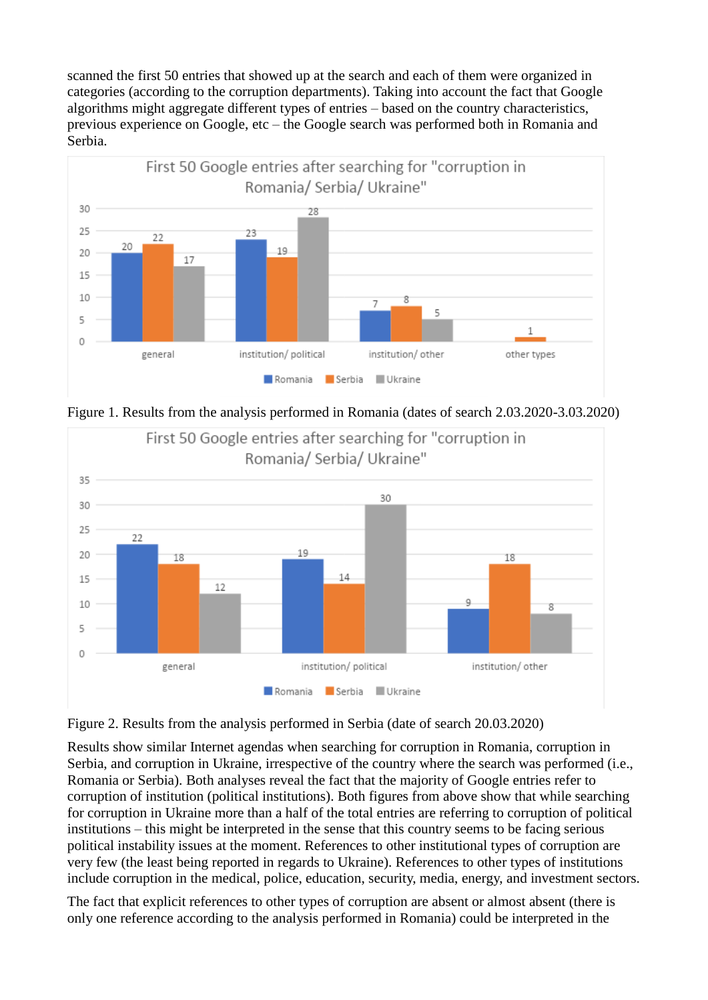scanned the first 50 entries that showed up at the search and each of them were organized in categories (according to the corruption departments). Taking into account the fact that Google algorithms might aggregate different types of entries – based on the country characteristics, previous experience on Google, etc – the Google search was performed both in Romania and Serbia.



Figure 1. Results from the analysis performed in Romania (dates of search 2.03.2020-3.03.2020)





Results show similar Internet agendas when searching for corruption in Romania, corruption in Serbia, and corruption in Ukraine, irrespective of the country where the search was performed (i.e., Romania or Serbia). Both analyses reveal the fact that the majority of Google entries refer to corruption of institution (political institutions). Both figures from above show that while searching for corruption in Ukraine more than a half of the total entries are referring to corruption of political institutions – this might be interpreted in the sense that this country seems to be facing serious political instability issues at the moment. References to other institutional types of corruption are very few (the least being reported in regards to Ukraine). References to other types of institutions include corruption in the medical, police, education, security, media, energy, and investment sectors.

The fact that explicit references to other types of corruption are absent or almost absent (there is only one reference according to the analysis performed in Romania) could be interpreted in the